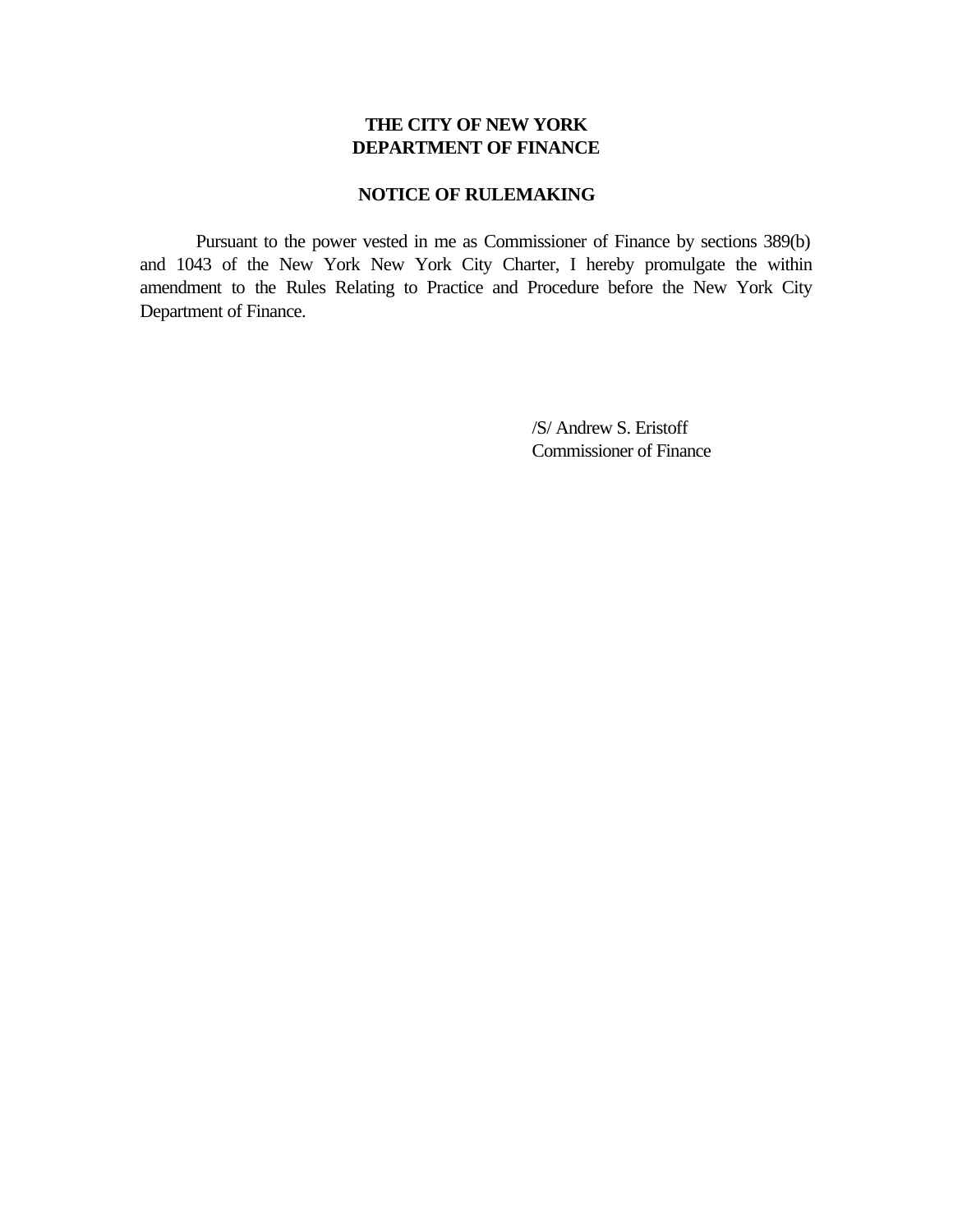## **THE CITY OF NEW YORK DEPARTMENT OF FINANCE**

## **NOTICE OF RULEMAKING**

Pursuant to the power vested in me as Commissioner of Finance by sections 389(b) and 1043 of the New York New York City Charter, I hereby promulgate the within amendment to the Rules Relating to Practice and Procedure before the New York City Department of Finance.

> /S/ Andrew S. Eristoff Commissioner of Finance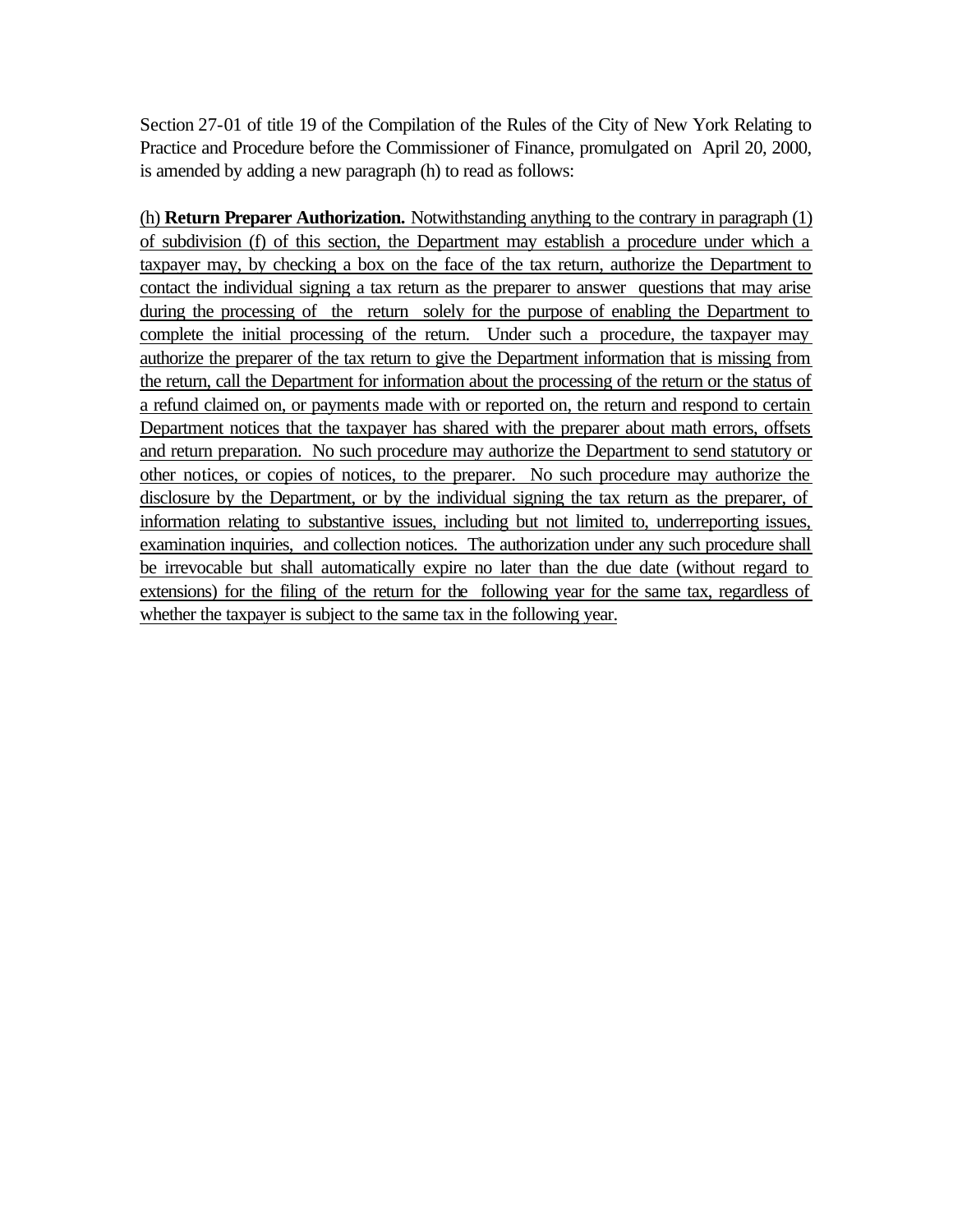Section 27-01 of title 19 of the Compilation of the Rules of the City of New York Relating to Practice and Procedure before the Commissioner of Finance, promulgated on April 20, 2000, is amended by adding a new paragraph (h) to read as follows:

(h) **Return Preparer Authorization.** Notwithstanding anything to the contrary in paragraph (1) of subdivision (f) of this section, the Department may establish a procedure under which a taxpayer may, by checking a box on the face of the tax return, authorize the Department to contact the individual signing a tax return as the preparer to answer questions that may arise during the processing of the return solely for the purpose of enabling the Department to complete the initial processing of the return. Under such a procedure, the taxpayer may authorize the preparer of the tax return to give the Department information that is missing from the return, call the Department for information about the processing of the return or the status of a refund claimed on, or payments made with or reported on, the return and respond to certain Department notices that the taxpayer has shared with the preparer about math errors, offsets and return preparation. No such procedure may authorize the Department to send statutory or other notices, or copies of notices, to the preparer. No such procedure may authorize the disclosure by the Department, or by the individual signing the tax return as the preparer, of information relating to substantive issues, including but not limited to, underreporting issues, examination inquiries, and collection notices. The authorization under any such procedure shall be irrevocable but shall automatically expire no later than the due date (without regard to extensions) for the filing of the return for the following year for the same tax, regardless of whether the taxpayer is subject to the same tax in the following year.